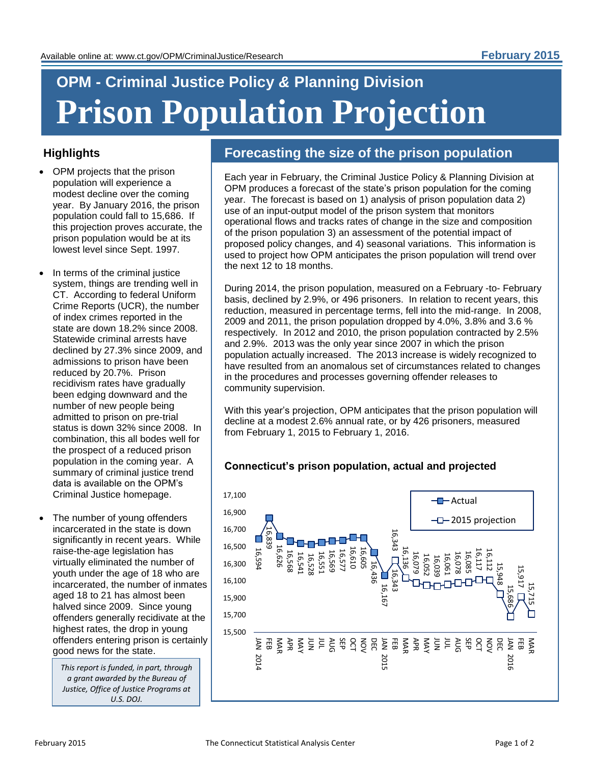# **OPM - Criminal Justice Policy** *&* **Planning Division Prison Population Projection**

## **Highlights**

- OPM projects that the prison population will experience a modest decline over the coming year. By January 2016, the prison population could fall to 15,686. If this projection proves accurate, the prison population would be at its lowest level since Sept. 1997.
- In terms of the criminal justice system, things are trending well in CT. According to federal Uniform Crime Reports (UCR), the number of index crimes reported in the state are down 18.2% since 2008. Statewide criminal arrests have declined by 27.3% since 2009, and admissions to prison have been reduced by 20.7%. Prison recidivism rates have gradually been edging downward and the number of new people being admitted to prison on pre-trial status is down 32% since 2008. In combination, this all bodes well for the prospect of a reduced prison population in the coming year. A summary of criminal justice trend data is available on the OPM's Criminal Justice homepage.
- The number of young offenders incarcerated in the state is down significantly in recent years. While raise-the-age legislation has virtually eliminated the number of youth under the age of 18 who are incarcerated, the number of inmates aged 18 to 21 has almost been halved since 2009. Since young offenders generally recidivate at the highest rates, the drop in young offenders entering prison is certainly good news for the state.

*This report is funded, in part, through a grant awarded by the Bureau of Justice, Office of Justice Programs at U.S. DOJ.* 

# **Forecasting the size of the prison population**

Each year in February, the Criminal Justice Policy & Planning Division at OPM produces a forecast of the state's prison population for the coming year. The forecast is based on 1) analysis of prison population data 2) use of an input-output model of the prison system that monitors operational flows and tracks rates of change in the size and composition of the prison population 3) an assessment of the potential impact of proposed policy changes, and 4) seasonal variations. This information is used to project how OPM anticipates the prison population will trend over the next 12 to 18 months.

During 2014, the prison population, measured on a February -to- February basis, declined by 2.9%, or 496 prisoners. In relation to recent years, this reduction, measured in percentage terms, fell into the mid-range. In 2008, 2009 and 2011, the prison population dropped by 4.0%, 3.8% and 3.6 % respectively. In 2012 and 2010, the prison population contracted by 2.5% and 2.9%. 2013 was the only year since 2007 in which the prison population actually increased. The 2013 increase is widely recognized to have resulted from an anomalous set of circumstances related to changes in the procedures and processes governing offender releases to community supervision.

With this year's projection, OPM anticipates that the prison population will decline at a modest 2.6% annual rate, or by 426 prisoners, measured from February 1, 2015 to February 1, 2016.

## **Connecticut's prison population, actual and projected**